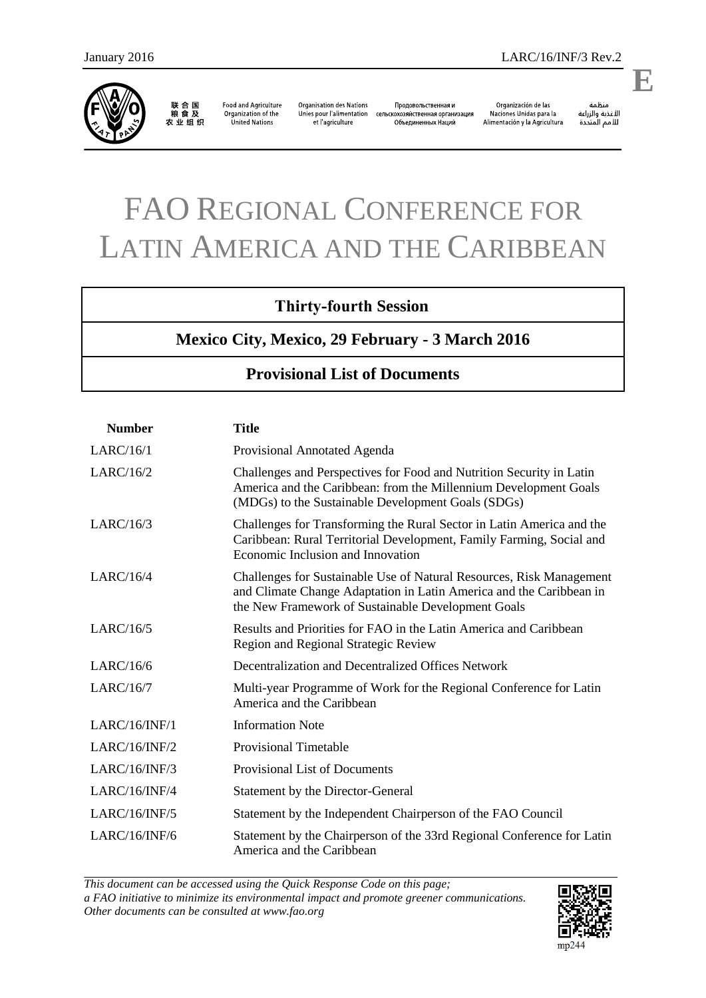

联合国<br>粮食及 农业组织

Food and Agriculture<br>Organization of the United Nations

**Organisation des Nations** Unies pour l'alimentation сельскохозяйственная организация et l'agriculture

Продовольственная и Объединенных Наций

Organización de las<br>Naciones Unidas para la Alimentación y la Agricultura

منظمة منطمة<br>الأغذية والزراعة<br>للأمم المتحدة

## FAO REGIONAL CONFERENCE FOR LATIN AMERICA AND THE CARIBBEAN

## **Thirty-fourth Session**

**Mexico City, Mexico, 29 February - 3 March 2016** 

## **Provisional List of Documents**

| <b>Number</b> | <b>Title</b>                                                                                                                                                                                      |
|---------------|---------------------------------------------------------------------------------------------------------------------------------------------------------------------------------------------------|
| LARC/16/1     | Provisional Annotated Agenda                                                                                                                                                                      |
| LARC/16/2     | Challenges and Perspectives for Food and Nutrition Security in Latin<br>America and the Caribbean: from the Millennium Development Goals<br>(MDGs) to the Sustainable Development Goals (SDGs)    |
| LARC/16/3     | Challenges for Transforming the Rural Sector in Latin America and the<br>Caribbean: Rural Territorial Development, Family Farming, Social and<br>Economic Inclusion and Innovation                |
| LARC/16/4     | Challenges for Sustainable Use of Natural Resources, Risk Management<br>and Climate Change Adaptation in Latin America and the Caribbean in<br>the New Framework of Sustainable Development Goals |
| LARC/16/5     | Results and Priorities for FAO in the Latin America and Caribbean<br>Region and Regional Strategic Review                                                                                         |
| LARC/16/6     | Decentralization and Decentralized Offices Network                                                                                                                                                |
| LARC/16/7     | Multi-year Programme of Work for the Regional Conference for Latin<br>America and the Caribbean                                                                                                   |
| LARC/16/INF/1 | <b>Information Note</b>                                                                                                                                                                           |
| LARC/16/INF/2 | <b>Provisional Timetable</b>                                                                                                                                                                      |
| LARC/16/INF/3 | <b>Provisional List of Documents</b>                                                                                                                                                              |
| LARC/16/INF/4 | Statement by the Director-General                                                                                                                                                                 |
| LARC/16/INF/5 | Statement by the Independent Chairperson of the FAO Council                                                                                                                                       |
| LARC/16/INF/6 | Statement by the Chairperson of the 33rd Regional Conference for Latin<br>America and the Caribbean                                                                                               |

*This document can be accessed using the Quick Response Code on this page; a FAO initiative to minimize its environmental impact and promote greener communications. Other documents can be consulted at www.fao.org* 



**E**